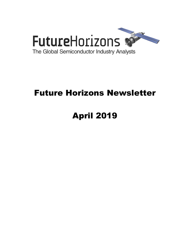

## Future Horizons Newsletter

# April 2019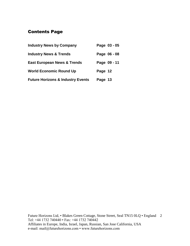## Contents Page

| <b>Industry News by Company</b>              | Page 03 - 05 |
|----------------------------------------------|--------------|
| <b>Industry News &amp; Trends</b>            | Page 06 - 08 |
| <b>East European News &amp; Trends</b>       | Page 09 - 11 |
| <b>World Economic Round Up</b>               | Page 12      |
| <b>Future Horizons &amp; Industry Events</b> | Page 13      |

Future Horizons Ltd, • Blakes Green Cottage, Stone Street, Seal TN15 0LQ • England 2 Tel: +44 1732 740440 • Fax: +44 1732 740442 Affiliates in Europe, India, Israel, Japan, Russian, San Jose California, USA e-mail: mail@futurehorizons.com • www.futurehorizons.com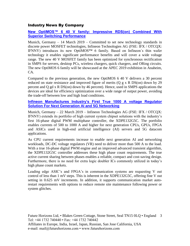#### Industry News By Company

#### **[New OptiMOS™ 6 40 V family: Impressive RDS\(on\) Combined With](https://www.infineon.com/cms/en/about-infineon/press/market-news/2019/INFPMM201903-047.html)  [Superior Switching Performance](https://www.infineon.com/cms/en/about-infineon/press/market-news/2019/INFPMM201903-047.html)**

Munich, Germany – 14 March 2019 – Committed to set new technology standards in discrete power MOSFET technologies, Infineon Technologies AG (FSE: IFX / OTCQX: IFNNY) introduces its new OptiMOS™ 6 family. Based on Infineon´s thin wafer technology it enables significant performance benefits and will cover a wide voltage range. The new 40 V MOSFET family has been optimized for synchronous rectification in SMPS for servers, desktop PCs, wireless chargers, quick chargers, and ORing circuits. The new OptiMOS 6 family will be showcased at the APEC 2019 exhibition in Anaheim, CA.

Compared to the previous generation, the new OptiMOS 6 40 V delivers a 30 percent reduced on state resistance and improved figure of merits (Q  $g \times R$  DS(on) down by 29 percent and Q gd x R DS(on) down by 46 percent). Hence, used in SMPS applications the devices are ideal for efficiency optimization over a wide range of output power, avoiding the trade-off between low and high load conditions.

#### **[Infineon Manufactures Industry's First True 1000 A voltage Regulator](https://www.infineon.com/cms/en/about-infineon/press/market-news/2019/INFPMM201903-052.html)  [Solution For Next Generation AI and 5G Networking](https://www.infineon.com/cms/en/about-infineon/press/market-news/2019/INFPMM201903-052.html)**

Munich, Germany – 22 March 2019 – Infineon Technologies AG (FSE: IFX / OTCQX: IFNNY) extends its portfolio of high current system chipset solutions with the industry's first 16-phase digital PWM multiphase controller, the XDPE132G5C. The portfolio enables currents of 500 to 1000 A and higher for next generation CPUs, GPUs, FPGA and ASICs used in high-end artificial intelligence (AI) servers and 5G datacom applications.

As CPU current requirements increase to enable next generation AI and networking workloads, DC-DC voltage regulators (VR) need to deliver more than 500 A to the load. With a true 16-phase digital PWM engine and an improved advanced transient algorithm, the XDPE132G5C controller addresses these high phase count requirements. The true active current sharing between phases enables a reliable, compact and cost-saving design. Furthermore, there is no need for extra logic doubler ICs commonly utilized in today's high phase count markets.

Leading edge ASIC's and FPGA's in communication systems are requesting V out control of less than 1 mV steps. This is inherent in the XDPE132G5C, offering fine V out setting in 0.625 mV increments. In addition, it supports communication market autorestart requirements with options to reduce remote site maintenance following power or system glitches.

Future Horizons Ltd, • Blakes Green Cottage, Stone Street, Seal TN15 0LQ • England 3 Tel: +44 1732 740440 • Fax: +44 1732 740442 Affiliates in Europe, India, Israel, Japan, Russian, San Jose California, USA e-mail: mail@futurehorizons.com • www.futurehorizons.com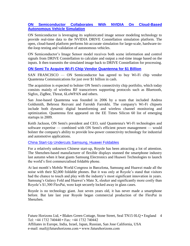#### **[ON Semiconductor Collaborates With NVIDIA On Cloud-Based](https://www.greencarcongress.com/2019/03/20190320-on.html)  [Autonomous Vehicle Simulation](https://www.greencarcongress.com/2019/03/20190320-on.html)**

ON Semiconductor is leveraging its sophisticated image sensor modeling technology to provide real-time data to the NVIDIA DRIVE Constellation simulation platform. The open, cloud-based platform performs bit-accurate simulation for large-scale, hardware-inthe-loop testing and validation of autonomous vehicles.

ON Semiconductor's Image Sensor model receives both scene information and control signals from DRIVE Constellation to calculate and output a real-time image based on the inputs. It then transmits the simulated image back to DRIVE Constellation for processing.

#### **[ON Semi To Acquire Wi-Fi Chip Vendor Quantenna for \\$1 Billion](https://www.eetimes.com/document.asp?doc_id=1334486&_mc=RSS_EET_EDT&utm_source=newsletter&utm_campaign=link&utm_medium=EETimesIoT-20190404)**

SAN FRANCISCO — ON Semiconductor has agreed to buy Wi-Fi chip vendor Quantenna Communications for just over \$1 billion in cash.

The acquisition is expected to bolster ON Semi's connectivity chip portfolio, which today consists mainly of wireless RF transceivers supporting protocols such as Bluetooth, Sigfox, ZigBee, Threat, 6LoWPAN and others.

San Jose-based Quantenna was founded in 2006 by a team that included Andrea Goldsmith, Behrooz Rezvani and Farrokh Farrokhi. The company's Wi-Fi chipsets include both dynamic digital beamforming and wireless channel monitoring and optimization. Quantenna first appeared on the EE Times Silicon 60 list of emerging startups in 2009.

Keith Jackson, ON Semi's president and CEO, said Quantenna's Wi-Fi technologies and software expertise — combined with ON Semi's efficient power management — would bolster the company's ability to provide low-power connectivity technology for industrial and automotive applications.

#### [China Start-Up Undercuts Samsung, Huawei Foldables](https://www.ft.com/content/ccfc4742-4149-11e9-9bee-efab61506f44?segmentId=a7371401-027d-d8bf-8a7f-2a746e767d56)

For a relatively unknown Chinese start-up, Royole has been attracting a lot of attention. The Shenzhen-based manufacturer of flexible displays stunned the smartphone industry last autumn when it beat giants Samsung Electronics and Huawei Technologies to launch the world's first commercialised foldable phone.

At last month's Mobile World Congress in Barcelona, Samsung and Huawei made all the noise with their \$2,000 foldable phones. But it was only at Royole's stand that visitors had the chance to touch and play with the industry's most significant innovation in years. Samsung's Galaxy Fold and Huawei's Mate X, sleeker and significantly more costly than Royole's \$1,300 FlexPai, were kept securely locked away in glass cases.

Royole is no technology giant. Just seven years old, it has never made a smartphone before. But late last year Royole began commercial production of the FlexPai in Shenzhen.

Future Horizons Ltd, • Blakes Green Cottage, Stone Street, Seal TN15 0LQ • England 4 Tel: +44 1732 740440 • Fax: +44 1732 740442 Affiliates in Europe, India, Israel, Japan, Russian, San Jose California, USA e-mail: mail@futurehorizons.com • www.futurehorizons.com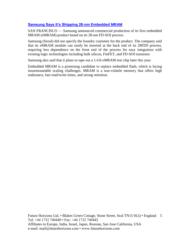#### **[Samsung Says It's Shipping 28-nm Embedded MRAM](https://www.eetimes.com/document.asp?doc_id=1334410&_mc=RSS_EET_EDT&utm_source=newsletter&utm_campaign=link&utm_medium=EETimesMemory-20190312)**

SAN FRANCISCO — Samsung announced commercial production of its first embedded MRAM (eMRAM) product based on its 28-nm FD-SOI process.

Samsung (Seoul) did not specify the foundry customer for the product. The company said that its eMRAM module can easily be inserted at the back end of its 28FDS process, requiring less dependence on the front end of the process for easy integration with existing logic technologies including bulk silicon, FinFET, and FD-SOI transistor.

Samsung also said that it plans to tape out a 1-Gb eMRAM test chip later this year.

Embedded MRAM is a promising candidate to replace embedded flash, which is facing insurmountable scaling challenges. MRAM is a non-volatile memory that offers high endurance, fast read/write times, and strong retention.

Future Horizons Ltd, • Blakes Green Cottage, Stone Street, Seal TN15 0LQ • England 5 Tel: +44 1732 740440 • Fax: +44 1732 740442 Affiliates in Europe, India, Israel, Japan, Russian, San Jose California, USA e-mail: mail@futurehorizons.com • www.futurehorizons.com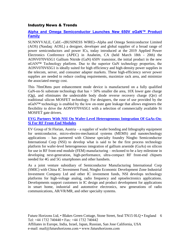#### Industry News & Trends

#### **[Alpha and Omega Semiconductor Launches New 650V αGaN™ Product](https://www.businesswire.com/news/home/20190320005878/en/Alpha-Omega-Semiconductor-Launches-New-650V-%CE%B1GaN%E2%84%A2)  [Family](https://www.businesswire.com/news/home/20190320005878/en/Alpha-Omega-Semiconductor-Launches-New-650V-%CE%B1GaN%E2%84%A2)**

SUNNYVALE, Calif.--(BUSINESS WIRE)--Alpha and Omega Semiconductor Limited (AOS) (Nasdaq: AOSL) a designer, developer and global supplier of a broad range of power semiconductors and power ICs, today introduced at the 2019 Applied Power Electronics Conference (APEC) in Anaheim, CA (held March 18th - 20th) the AONV070V65G1 Gallium Nitride (GaN) 650V transistor, the initial product in the new αGAN™ Technology platform. Due to the superior GaN technology properties, the AONV070V65G1 is ideally suited for high efficiency and high-density power supplies in the telecom, server, and consumer adapter markets. These high-efficiency server power supplies are needed to reduce cooling requirements, maximize rack area, and minimize the associated energy cost.

This 70mOhms pure enhancement mode device is manufactured on a fully qualified GaN-on-Si substrate technology that has > 50% smaller die area, 10X lower gate charge (Qg), and eliminates the undesirable body diode reverse recovery charge (Qrr) of traditional silicon MOSFET technology. For designers, the ease of use provided by the  $\alpha$ GaN<sup>™</sup> technology is enabled by the low on-state gate leakage that allows engineers the flexibility to drive the AONV070V65G1 with a selection of commercially available Si MOSFET gate drivers.

#### **[EVG Partners With NSI On Wafer-Level Heterogeneous Integration Of GaAs-On-](http://www.semiconductor-today.com/news_items/2019/mar/evg_200319.shtml)[Si For RF Front-End Modules](http://www.semiconductor-today.com/news_items/2019/mar/evg_200319.shtml)**

EV Group of St Florian, Austria – a supplier of wafer bonding and lithography equipment for semiconductor, micro-electro-mechanical systems (MEMS) and nanotechnology applications – has partnered with Chinese specialty foundry Ningbo Semiconductor International Corp (NSI) to develop what is said to be the first process technology platform for wafer-level heterogeneous integration of gallium arsenide (GaAs) on silicon for use in RF front-end module (FEM) manufacturing – reckoned to be a key milestone in developing next-generation, high-performance, ultra-compact RF front-end chipsets needed for 4G and 5G smartphones and other handsets.

As a joint venture subsidiary of Semiconductor Manufacturing International Corp (SMIC) with China IC Investment Fund, Ningbo Economic Development Zone Industrial Investment Company Ltd and other IC investment funds, NSI develops technology platforms for high-voltage analog, radio frequency and optoelectronics applications. Developments support customers in IC design and product development for applications in smart home, industrial and automotive electronics, new generations of radio communications, AR/VR/MR, and other specialty systems.

Future Horizons Ltd, • Blakes Green Cottage, Stone Street, Seal TN15 0LQ • England 6 Tel: +44 1732 740440 • Fax: +44 1732 740442 Affiliates in Europe, India, Israel, Japan, Russian, San Jose California, USA e-mail: mail@futurehorizons.com • www.futurehorizons.com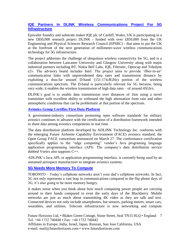#### **[IQE Partners In DLINK Wireless Communications Project For 5G](http://www.semiconductor-today.com/news_items/2019/mar/iqe_200319.shtml)  [Infrastructure](http://www.semiconductor-today.com/news_items/2019/mar/iqe_200319.shtml)**

Epiwafer foundry and substrate maker IQE plc of Cardiff, Wales, UK is participating in a new £850,000 research project DLINK - funded with over £850,000 from the UK Engineering and Physical Sciences Research Council (EPSRC) - that aims to put the UK at the forefront of the next generation of millimeter-wave wireless communications technology for 5G infrastructure.

The project addresses the challenge of ubiquitous wireless connectivity for 5G, and is a collaboration between Lancaster University and Glasgow University along with major industrial partners including BT, Nokia Bell Labs, IQE, Filtronic, Optocap and Teledyne e2v. The advisory board includes Intel. The project aims to provide 'fiber-in-air' communication links with unprecedented data rates and transmission distance by exploiting a thus-far unused D-band (151-174.8GHz) portion of the wireless communications spectrum. The D-band is particularly relevant for 5G because, being very wide, it enables the wireless transmission of high data rates – of around 45Gb/s.

DLINK's goal is to enable data transmission over distances of 1km using a novel transmitter with excellent ability to withstand the high attenuation from rain and other atmospheric conditions that can be problematic at that portion of the spectrum.

#### **[Avionics Group Certifies First Data Platform](https://www.eetimes.com/document.asp?doc_id=1334524&_mc=RSS_EET_EDT&utm_source=newsletter&utm_campaign=link&utm_medium=EETimesDaily-20190404)**

A government-industry consortium promoting open software standards for military avionics continues to advance with the certification of a distribution framework intended to share data among avionics components in real time.

The data distribution platform developed by ADLINK Technology Inc. conforms with the emerging Future Airborne Capability Environment (FACE) avionics standard, the Open Group FACE consortium announced on March 27. The conformance certification specifically applies to the "edge computing" vendor's Java programing language application programming interface (API). The company's data distribution service dubbed Vortex also supports C++.

ADLINK's Java API, or application programming interface, is currently being used by an unnamed aerospace manufacturer to integrate avionics systems.

#### **[5G Needs More Memory To Compute](https://www.eetimes.com/document.asp?doc_id=1334512&_mc=RSS_EET_EDT&utm_source=newsletter&utm_campaign=link&utm_medium=EETimesDaily-20190402)**

TORONTO – Today's cellphone networks aren't your dad's cellphone networks. In fact, 5G not only represents a vast leap in communications compared to the flip phone days of 3G, it's also going to be more memory hungry.

It makes sense when you think about how much computing power people are carrying around in their hands compared to even the early days of the Blackberry. Mobile networks are just as much about transmitting 4K video as they are talk and text. Connected devices not only include smartphones, but sensors, parking meters, smart cars, wearables, and utilities. Telecom infrastructure is now networking and compute

Future Horizons Ltd, • Blakes Green Cottage, Stone Street, Seal TN15 0LQ • England 7 Tel: +44 1732 740440 • Fax: +44 1732 740442

Affiliates in Europe, India, Israel, Japan, Russian, San Jose California, USA e-mail: mail@futurehorizons.com • www.futurehorizons.com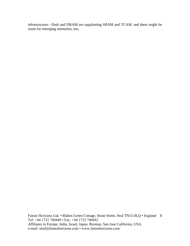infrastructure—flash and DRAM are supplanting SRAM and TCAM, and there might be room for emerging memories, too.

Future Horizons Ltd, • Blakes Green Cottage, Stone Street, Seal TN15 0LQ • England 8 Tel: +44 1732 740440 • Fax: +44 1732 740442 Affiliates in Europe, India, Israel, Japan, Russian, San Jose California, USA e-mail: mail@futurehorizons.com • www.futurehorizons.com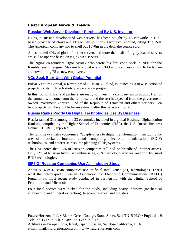#### East European News & Trends

#### **[Russian Web Server Developer Purchased By U.S. Investor](http://www.marchmontnews.com/Finance-Business/Central-regions/22044-Russian-web-server-developer-purchased-by-US-investor-.html)**

Nginx, a Russian developer of web servers, has been bought by F5 Networks, a U.S. based provider of cloud and IT security solutions, Firrma.ru reported, citing The Bell. The American company had to shell out \$670m in the deal, the source said.

An estimated 40% of global Internet servers and more than half of highly loaded servers are said to operate based on Nginx web servers.

The Nginx co-founders—Igor Sysoev who wrote his first code back in 2001 for the Rambler search engine, Maksim Konovalov and CEO and co-investor Gus Robertson are now joining F5 as new employees.

#### **[VCs Seek Start-Ups With Global Potential](http://www.marchmontnews.com/Finance-Business/Volga/22037-VCs-seek-start-ups-with-global-potential.html)**

Pulsar Venture Capital, a Kazan-based Russian VC fund, is launching a new selection of projects for its fifth tech start-up acceleration program.

In this round, Pulsar and partners are ready to invest in a company up to \$308K. Half of the amount will come from the fund itself, and the rest is expected from the governmentowned Investment Venture Fund of the Republic of Tatarstan and others partners. Ten best projects will be eligible for investment after this selection round.

#### **[Russia Ranks Poorly On Digital Technologies Use By Business](http://www.marchmontnews.com/Technology-Innovation/Central-regions/22043-Russia-ranks-poorly-digital-technologies-use-by-business.html)**

Russia ranked 31st among the 33 economies included in a global Business Digitalization Ranking compiled by the Higher School of Economics (HSE), the U.S.-Russia Business Council (USRBC) reported.

The ranking evaluates economies' "adaptiveness to digital transformation," including the use of broadband Internet, cloud computing, electronic identification (RDIF) technologies, and enterprise resource planning (ERP) systems.

The HSE noted that 18% of Russian companies still had no broadband Internet access. Only 12% of Russian firms used online sales, 23% used cloud services, and only 6% used RDIF technologies.

#### **[80% Of Russian Companies Use AI—Industry Study](http://www.marchmontnews.com/Technology-Innovation/Central-regions/22047-80-Russian-companies-use-AI%E2%80%94industry-study-.html)**

About 80% of Russian companies use artificial intelligence (AI) technologies. That's what the not-for-profit Russian Association for Electronic Communications (RAEC) found in its most recent study conducted in partnership with the Higher School of Economics and Microsoft.

Four focal sectors were picked for the study, including heavy industry (mechanical engineering and mineral extraction), telecom, finance, and logistics.

Future Horizons Ltd, • Blakes Green Cottage, Stone Street, Seal TN15 0LQ • England 9 Tel: +44 1732 740440 • Fax: +44 1732 740442 Affiliates in Europe, India, Israel, Japan, Russian, San Jose California, USA e-mail: mail@futurehorizons.com • www.futurehorizons.com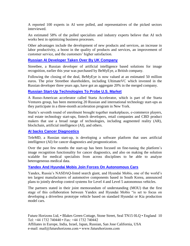A reported 100 experts in AI were polled, and representatives of the picked sectors interviewed.

An estimated 58% of the polled specialists and industry experts believe that AI tech works best in optimizing business processes.

Other advantages include the development of new products and services, an increase in labor productivity, a boost in the quality of products and services, an improvement of customer service, and the customers' higher satisfaction.

#### **[Russian AI Developer Taken Over By UK Company](http://www.marchmontnews.com/Finance-Business/Central-regions/22023-Russian-AI-developer-taken-over-by-UK-company.html)**

Streetbee, a Russian developer of artificial intelligence based solutions for image recognition, earlier this year was purchased by BeMyEye, a British company.

Following the closing of the deal, BeMyEye is now valued at an estimated 50 million euros. The prior Streetbee shareholders, including UltimateVC which invested in the Russian developer three years ago, have got an aggregate 20% in the merged company.

#### **[Russian Start-Up Technologies To Probe U.S. Market](http://www.marchmontnews.com/Finance-Business/Central-regions/22039-Russian-start-up-technologies-probe-US-market.html)**

A Russo-American accelerator called Starta Accelerator, which is part of the Starta Ventures group, has been mentoring 20 Russian and international technology start-ups as they participate in a three-month acceleration program in New York.

Starta's seventh round of enrolment brought together marketplaces, e-commerce players, real estate technology start-ups, fintech developers, retail companies and CBD product makers that use a broad range of technologies, including augmented reality (AR), blockchain, artificial intelligence (AI), and others.

#### **[AI backs Cancer Diagnostics](http://www.marchmontnews.com/Finance-Business/Central-regions/21843-AI-backs-cancer-diagnostics.html)**

TeleMD, a Russian start-up, is developing a software platform that uses artificial intelligence (AI) for cancer diagnostics and prognostication.

Over the past few months the start-up has been focused on fine-tuning the platform's image recognition functionality for cancer diagnostics, and also on making the solution scalable for medical specialists from across disciplines to be able to analyze heterogeneous medical data.

#### **[Yandex And Hyundai Mobis Join Forces On Autonomous Cars](http://www.marchmontnews.com/Finance-Business/Central-regions/22048-Yandex-and-Hyundai-Mobis-join-forces-autonomous-cars.html)**

Yandex, Russia's NASDAQ-listed search giant, and Hyundai Mobis, one of the world's ten largest manufacturers of automotive components based in South Korea, announced plans to jointly develop control systems for Level 4 and Level 5 autonomous vehicles.

The partners stated in their joint memorandum of understanding (MOU) that the first stage of this collaboration between Yandex and Hyundai Mobis "is set to focus on developing a driverless prototype vehicle based on standard Hyundai or Kia production model cars.

Future Horizons Ltd, • Blakes Green Cottage, Stone Street, Seal TN15 0LQ • England 10 Tel: +44 1732 740440 • Fax: +44 1732 740442

Affiliates in Europe, India, Israel, Japan, Russian, San Jose California, USA e-mail: mail@futurehorizons.com • www.futurehorizons.com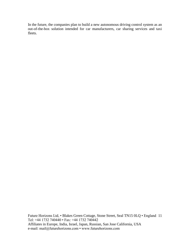In the future, the companies plan to build a new autonomous driving control system as an out-of-the-box solution intended for car manufacturers, car sharing services and taxi fleets.

Future Horizons Ltd, • Blakes Green Cottage, Stone Street, Seal TN15 0LQ • England 11 Tel: +44 1732 740440 • Fax: +44 1732 740442 Affiliates in Europe, India, Israel, Japan, Russian, San Jose California, USA e-mail: mail@futurehorizons.com • www.futurehorizons.com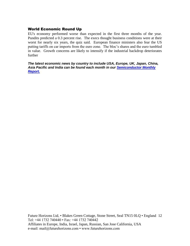#### World Economic Round Up

EU's economy performed worse than expected in the first three months of the year. Pundits predicted a 0.3 percent rise. The execs thought business conditions were at their worst for nearly six years, the quiz said. European finance ministers also fear the US putting tariffs on car imports from the euro zone. The bloc's shares and the euro tumbled in value. Growth concerns are likely to intensify if the industrial backdrop deteriorates further

*The latest economic news by country to include USA, Europe, UK, Japan, China, Asia Pacific and India can be found each month in our [Semiconductor Monthly](http://www.futurehorizons.com/page/18/Global-Semiconductor-Report)  [Report.](http://www.futurehorizons.com/page/18/Global-Semiconductor-Report)* 

Future Horizons Ltd, • Blakes Green Cottage, Stone Street, Seal TN15 0LQ • England 12 Tel: +44 1732 740440 • Fax: +44 1732 740442 Affiliates in Europe, India, Israel, Japan, Russian, San Jose California, USA e-mail: mail@futurehorizons.com • www.futurehorizons.com